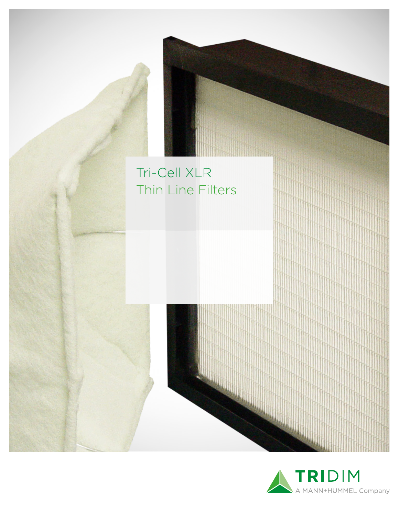

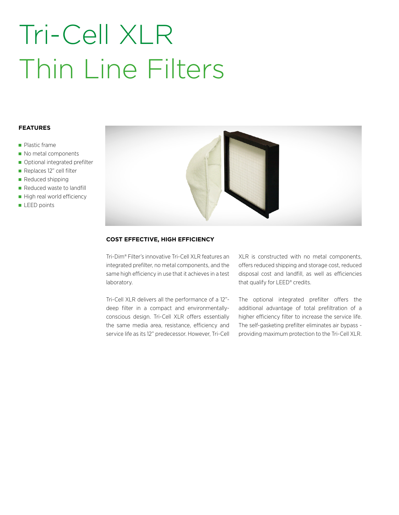# Tri-Cell XLR Thin Line Filters

#### **FEATURES**

- **Plastic frame**
- No metal components
- Optional integrated prefilter
- Replaces 12" cell filter
- Reduced shipping
- Reduced waste to landfill
- High real world efficiency
- LEED points



### **COST EFFECTIVE, HIGH EFFICIENCY**

Tri-Dim® Filter's innovative Tri-Cell XLR features an integrated prefilter, no metal components, and the same high efficiency in use that it achieves in a test laboratory.

Tri-Cell XLR delivers all the performance of a 12" deep filter in a compact and environmentallyconscious design. Tri-Cell XLR offers essentially the same media area, resistance, efficiency and service life as its 12" predecessor. However, Tri-Cell XLR is constructed with no metal components, offers reduced shipping and storage cost, reduced disposal cost and landfill, as well as efficiencies that qualify for LEED® credits.

The optional integrated prefilter offers the additional advantage of total prefiltration of a higher efficiency filter to increase the service life. The self-gasketing prefilter eliminates air bypass providing maximum protection to the Tri-Cell XLR.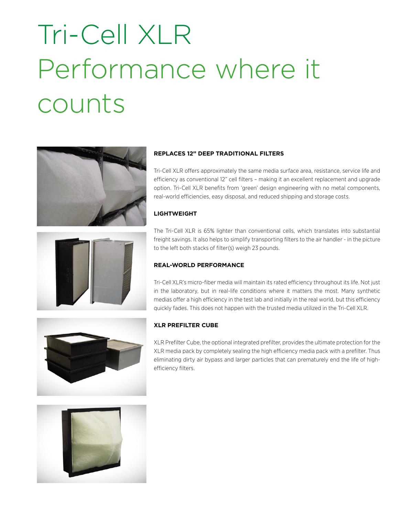# Tri-Cell XLR Performance where it counts





## **REPLACES 12" DEEP TRADITIONAL FILTERS**

Tri-Cell XLR offers approximately the same media surface area, resistance, service life and efficiency as conventional 12" cell filters – making it an excellent replacement and upgrade option. Tri-Cell XLR benefits from 'green' design engineering with no metal components, real-world efficiencies, easy disposal, and reduced shipping and storage costs.

### **LIGHTWEIGHT**

The Tri-Cell XLR is 65% lighter than conventional cells, which translates into substantial freight savings. It also helps to simplify transporting filters to the air handler - in the picture to the left both stacks of filter(s) weigh 23 pounds.

### **REAL-WORLD PERFORMANCE**

Tri-Cell XLR's micro-fiber media will maintain its rated efficiency throughout its life. Not just in the laboratory, but in real-life conditions where it matters the most. Many synthetic medias offer a high efficiency in the test lab and initially in the real world, but this efficiency quickly fades. This does not happen with the trusted media utilized in the Tri-Cell XLR.

#### **XLR PREFILTER CUBE**

XLR Prefilter Cube, the optional integrated prefilter, provides the ultimate protection for the XLR media pack by completely sealing the high efficiency media pack with a prefilter. Thus eliminating dirty air bypass and larger particles that can prematurely end the life of highefficiency filters.